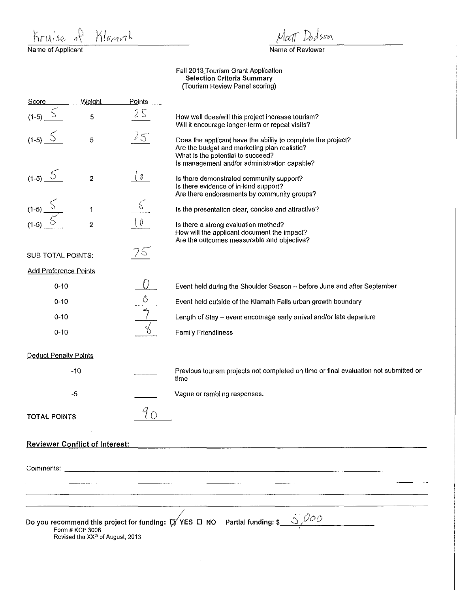$K_r u_i$  se  $\partial$ <br>Name of Applicant Klanoch

Json

Name of Reviewer

Faii2013\_Tourism Grant Application Selection Criteria Summary (Tourism Review Panel scoring)

| Score                        | Weight                                       | Points              |                                                                                                                                                                                                   |
|------------------------------|----------------------------------------------|---------------------|---------------------------------------------------------------------------------------------------------------------------------------------------------------------------------------------------|
| $(1-5)$                      | 5                                            | 25                  | How well does/will this project increase tourism?<br>Will it encourage longer-term or repeat visits?                                                                                              |
| $(1-5)$                      | 5                                            | 25                  | Does the applicant have the ability to complete the project?<br>Are the budget and marketing plan realistic?<br>What is the potential to succeed?<br>Is management and/or administration capable? |
| $(1-5)$ $5$                  | $\overline{\mathbf{c}}$                      | $\langle v \rangle$ | Is there demonstrated community support?<br>Is there evidence of in-kind support?<br>Are there endorsements by community groups?                                                                  |
| $(1-5)$                      | 1                                            | $\zeta$             | Is the presentation clear, concise and attractive?                                                                                                                                                |
| $(1-5)$                      | $\overline{\mathbf{2}}$                      | $\{0$               | Is there a strong evaluation method?<br>How will the applicant document the impact?<br>Are the outcomes measurable and objective?                                                                 |
| SUB-TOTAL POINTS:            |                                              | $/$ $\circ$         |                                                                                                                                                                                                   |
| <b>Add Preference Points</b> |                                              |                     |                                                                                                                                                                                                   |
| $0 - 10$                     |                                              |                     | Event held during the Shoulder Season -- before June and after September                                                                                                                          |
| $0 - 10$                     |                                              | 6                   | Event held outside of the Klamath Falls urban growth boundary                                                                                                                                     |
| $0 - 10$                     |                                              |                     | Length of Stay - event encourage early arrival and/or late departure                                                                                                                              |
| $0 - 10$                     |                                              |                     | <b>Family Friendliness</b>                                                                                                                                                                        |
| <b>Deduct Penalty Points</b> |                                              |                     |                                                                                                                                                                                                   |
|                              | $-10$                                        |                     | Previous tourism projects not completed on time or final evaluation not submitted on<br>time                                                                                                      |
|                              | $-5$                                         |                     | Vague or rambling responses.                                                                                                                                                                      |
| <b>TOTAL POINTS</b>          |                                              |                     |                                                                                                                                                                                                   |
|                              | <b>Reviewer Conflict of Interest:</b>        |                     |                                                                                                                                                                                                   |
|                              |                                              |                     |                                                                                                                                                                                                   |
|                              |                                              |                     |                                                                                                                                                                                                   |
|                              |                                              |                     |                                                                                                                                                                                                   |
|                              |                                              |                     |                                                                                                                                                                                                   |
|                              | Form # KCF 3008                              |                     | Do you recommend this project for funding: $\sharp/\!\!/$ YES $\Box$ NO Partial funding: \$                                                                                                       |
|                              | Revised the XX <sup>th</sup> of August, 2013 |                     |                                                                                                                                                                                                   |
|                              |                                              |                     |                                                                                                                                                                                                   |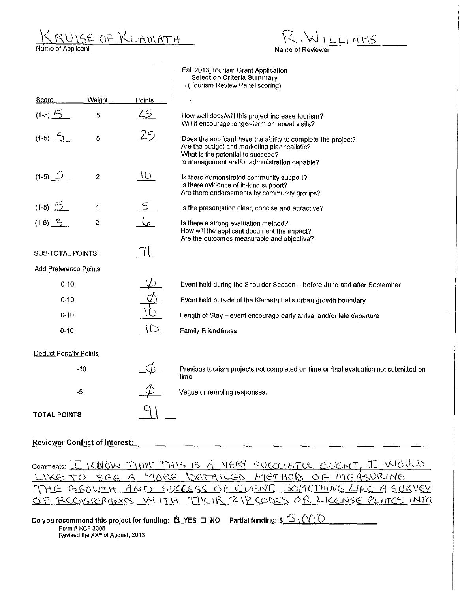KRUISE OF KLAMATH

 $-L1$  AMS Name of Reviewer

## Faii2013\_Tourism Grant Application **Selection Criteria Summary**  (Tourism Review Panel scoring)

l, ł

| Score                        | Weight                  | Points          |                                                                                                                                                                                                   |
|------------------------------|-------------------------|-----------------|---------------------------------------------------------------------------------------------------------------------------------------------------------------------------------------------------|
| $(1-5)$ $\frac{15}{2}$       | 5                       | 25              | How well does/will this project increase tourism?<br>Will it encourage longer-term or repeat visits?                                                                                              |
| $(1-5)$ 5                    | 5                       | 25              | Does the applicant have the ability to complete the project?<br>Are the budget and marketing plan realistic?<br>What is the potential to succeed?<br>Is management and/or administration capable? |
| $(1-5)$ $5$                  | $\overline{c}$          | 10 <sup>7</sup> | Is there demonstrated community support?<br>Is there evidence of in-kind support?<br>Are there endorsements by community groups?                                                                  |
| $(1-5) 5$                    | 1                       |                 | Is the presentation clear, concise and attractive?                                                                                                                                                |
| $(1-5)$ $3$                  | $\overline{\mathbf{2}}$ | $\mathsf{C}$    | Is there a strong evaluation method?<br>How will the applicant document the impact?<br>Are the outcomes measurable and objective?                                                                 |
| <b>SUB-TOTAL POINTS:</b>     |                         |                 |                                                                                                                                                                                                   |
| <b>Add Preference Points</b> |                         |                 |                                                                                                                                                                                                   |
| $0 - 10$                     |                         |                 | Event held during the Shoulder Season - before June and after September                                                                                                                           |
| $0 - 10$                     |                         |                 | Event held outside of the Klamath Falls urban growth boundary                                                                                                                                     |
| $0 - 10$                     |                         |                 | Length of Stay - event encourage early arrival and/or late departure                                                                                                                              |
| $0 - 10$                     |                         | ID              | <b>Family Friendliness</b>                                                                                                                                                                        |
| <b>Deduct Penalty Points</b> |                         |                 |                                                                                                                                                                                                   |
|                              | $-10$                   |                 | Previous tourism projects not completed on time or final evaluation not submitted on<br>time                                                                                                      |
|                              | $-5$                    |                 | Vague or rambling responses.                                                                                                                                                                      |
| <b>TOTAL POINTS</b>          |                         |                 |                                                                                                                                                                                                   |
|                              |                         |                 |                                                                                                                                                                                                   |

## **Reviewer Conflict of Interest:**

|  |  |                                                 | Comments: I KNOW THAT THIS IS A VERY SUCCESSFUL EVENT, I WOULD |
|--|--|-------------------------------------------------|----------------------------------------------------------------|
|  |  | LIKE TO SEE A MORE DETAILED METHOD OF MEASURING |                                                                |
|  |  |                                                 | THE GROWTH AND SUCCESS OF EVENT. SOMETHING LIKE A SURVEY       |
|  |  |                                                 | OF REGISTERANTS WITH THEIR ZIP CODES OR LICENSE PLATES INTO    |

| Do you recommend this project for funding: $\overline{\texttt{A}}$ YES $\Box$ NO $^-$ Partial funding: \$ $\tilde{\to}$ , $\textcircled{\wedge} \mathbb{D}^-$ |  |
|---------------------------------------------------------------------------------------------------------------------------------------------------------------|--|
| Form # KCF 3008                                                                                                                                               |  |
| Revised the XX <sup>th</sup> of August, 2013                                                                                                                  |  |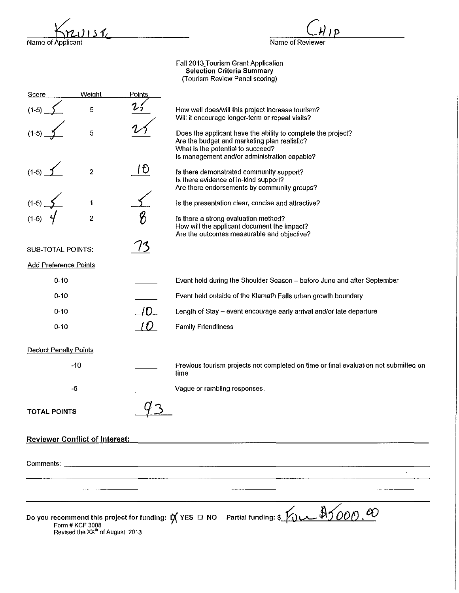$34$ Name of Applicant

Name of Reviewer

ם ו

Faii2013\_Tourism Grant Application Selection Criteria Summary (Tourism Review Panel scoring)

| <b>Score</b>                          | Weight                                                          | Points |                                                                                                                                                                                                   |
|---------------------------------------|-----------------------------------------------------------------|--------|---------------------------------------------------------------------------------------------------------------------------------------------------------------------------------------------------|
| $(1-5)$                               | 5                                                               |        | How well does/will this project increase tourism?<br>Will it encourage longer-term or repeat visits?                                                                                              |
| $(1-5)$                               | 5                                                               |        | Does the applicant have the ability to complete the project?<br>Are the budget and marketing plan realistic?<br>What is the potential to succeed?<br>Is management and/or administration capable? |
| $(1-5)$                               | $\boldsymbol{2}$                                                | 10     | Is there demonstrated community support?<br>Is there evidence of in-kind support?<br>Are there endorsements by community groups?                                                                  |
| $(1-5)$                               | 1                                                               |        | Is the presentation clear, concise and attractive?                                                                                                                                                |
| $(1-5)$                               | $\boldsymbol{2}$                                                |        | is there a strong evaluation method?<br>How will the applicant document the impact?<br>Are the outcomes measurable and objective?                                                                 |
| SUB-TOTAL POINTS:                     |                                                                 |        |                                                                                                                                                                                                   |
| <b>Add Preference Points</b>          |                                                                 |        |                                                                                                                                                                                                   |
| $0 - 10$                              |                                                                 |        | Event held during the Shoulder Season - before June and after September                                                                                                                           |
| $0 - 10$                              |                                                                 |        | Event held outside of the Klamath Falls urban growth boundary                                                                                                                                     |
| $0 - 10$                              |                                                                 | ID     | Length of Stay - event encourage early arrival and/or late departure                                                                                                                              |
| $0 - 10$                              |                                                                 | ID     | <b>Family Friendliness</b>                                                                                                                                                                        |
| <b>Deduct Penalty Points</b>          |                                                                 |        |                                                                                                                                                                                                   |
|                                       | $-10$                                                           |        | Previous tourism projects not completed on time or final evaluation not submitted on<br>time                                                                                                      |
| $-5$                                  |                                                                 |        | Vague or rambling responses.                                                                                                                                                                      |
| <b>TOTAL POINTS</b>                   |                                                                 |        |                                                                                                                                                                                                   |
| <b>Reviewer Conflict of Interest:</b> |                                                                 |        |                                                                                                                                                                                                   |
|                                       |                                                                 |        |                                                                                                                                                                                                   |
|                                       |                                                                 |        |                                                                                                                                                                                                   |
|                                       |                                                                 |        |                                                                                                                                                                                                   |
|                                       | Form # KCF 3008<br>Revised the XX <sup>th</sup> of August, 2013 |        | Do you recommend this project for funding: $\cancel{\mathsf{A}}$ YES $\Box$ NO Partial funding: \$                                                                                                |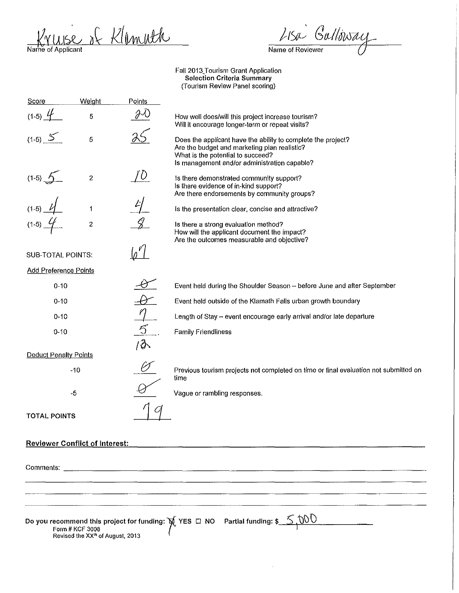Kruse of Klemuth Name of Applicant

LISA Gallinsay Name of Reviewer

Fa112013\_Tourism Grant Application Selection Criteria Summary (Tourism Review Panel scoring)

| Score                                 | Weight                                                          | Points         |                                                                                                                                                                                                   |
|---------------------------------------|-----------------------------------------------------------------|----------------|---------------------------------------------------------------------------------------------------------------------------------------------------------------------------------------------------|
| $(1-5)$ $4$                           | 5                                                               |                | How well does/will this project increase tourism?<br>Will it encourage longer-term or repeat visits?                                                                                              |
| $(1-5)$ 5                             | 5                                                               |                | Does the applicant have the ability to complete the project?<br>Are the budget and marketing plan realistic?<br>What is the potential to succeed?<br>Is management and/or administration capable? |
| $(1-5)$ $\frac{6}{2}$                 | $\boldsymbol{2}$                                                | $\cup$         | is there demonstrated community support?<br>Is there evidence of in-kind support?<br>Are there endorsements by community groups?                                                                  |
| $(1-5)$                               | 1                                                               |                | Is the presentation clear, concise and attractive?                                                                                                                                                |
| $(1-5)$                               | $\overline{c}$                                                  |                | Is there a strong evaluation method?<br>How will the applicant document the impact?<br>Are the outcomes measurable and objective?                                                                 |
| SUB-TOTAL POINTS:                     |                                                                 |                |                                                                                                                                                                                                   |
| <b>Add Preference Points</b>          |                                                                 |                |                                                                                                                                                                                                   |
| $0 - 10$                              |                                                                 |                | Event held during the Shoulder Season -- before June and after September                                                                                                                          |
| $0 - 10$                              |                                                                 |                | Event held outside of the Klamath Falls urban growth boundary                                                                                                                                     |
| $0 - 10$                              |                                                                 |                | Length of Stay - event encourage early arrival and/or late departure                                                                                                                              |
| $0 - 10$                              |                                                                 | $\overline{5}$ | <b>Family Friendliness</b>                                                                                                                                                                        |
| <b>Deduct Penalty Points</b>          |                                                                 | /ð\            |                                                                                                                                                                                                   |
|                                       | $-10$                                                           |                | Previous tourism projects not completed on time or final evaluation not submitted on<br>time                                                                                                      |
|                                       | -5                                                              |                | Vague or rambling responses.                                                                                                                                                                      |
| <b>TOTAL POINTS</b>                   |                                                                 |                |                                                                                                                                                                                                   |
| <b>Reviewer Conflict of Interest:</b> |                                                                 |                |                                                                                                                                                                                                   |
| Comments:                             |                                                                 |                | <u> 1980 - Jan Samuel Barn, martin de filosofoar (h. 1980).</u>                                                                                                                                   |
|                                       |                                                                 |                |                                                                                                                                                                                                   |
|                                       |                                                                 |                |                                                                                                                                                                                                   |
|                                       | Form # KCF 3008<br>Revised the XX <sup>In</sup> of August, 2013 |                | Do you recommend this project for funding: $\cancel{\pi}$ YES $\Box$ NO Partial funding: $\frac{\mathcal{S}}{\mathcal{S}}$ , $\frac{000}{\sqrt{00}}$                                              |

 $\hat{\mathcal{A}}$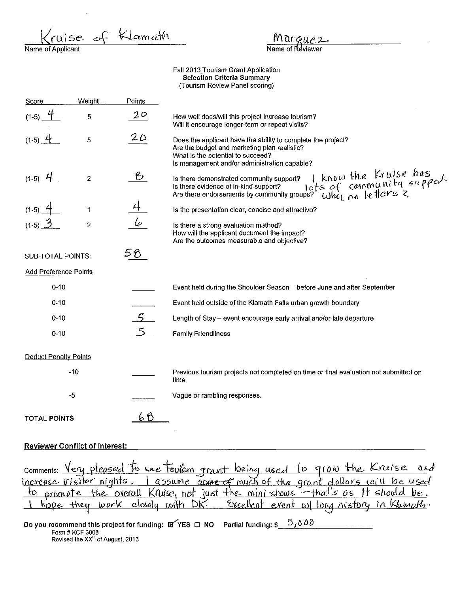se of Klamath Fall 2013 Tourism Grant Application **Selection Criteria Summary** (Tourism Review Panel scoring) Weight Points Score  $20$  $(1-5)$ 5 How well does/will this project increase tourism? Will it encourage longer-term or repeat visits?  $20$  $(1-5)$  4 5 Does the applicant have the ability to complete the project? Are the budget and marketing plan realistic? What is the potential to succeed? Is management and/or administration capable? Is there demonstrated community support?  $|$  know the kruise has<br>ls there evidence of in-kind support?  $|$  lots of community  $\epsilon u \rho \rho \omega^+$ .<br>Are there endorsements by community groups? Why no letters ?  $\epsilon$  $(1-5)$  4  $\overline{2}$ Is the presentation clear, concise and attractive? 1  $\overline{2}$ Is there a strong evaluation method? How will the applicant document the impact? Are the outcomes measurable and objective? 58 I **SUB-TOTAL POINTS: Add Preference Points**  $0 - 10$ Event held during the Shoulder Season - before June and after September  $0 - 10$ Event held outside of the Klamath Falls urban growth boundary  $0 - 10$ Length of Stay - event encourage early arrival and/or late departure  $0 - 10$ **Family Friendliness Deduct Penalty Points**  $-10$ Previous tourism projects not completed on time or final evaluation not submitted on time  $-5$ Vaque or rambling responses. 68 **TOTAL POINTS** 

## **Reviewer Conflict of Interest:**

| comments: Very pleased to see tourem grant being used to grow the Kruise and     |
|----------------------------------------------------------------------------------|
|                                                                                  |
| to promote the overall Kruise, not just the mini-shows - that's as it should be. |
| 1 hope they work closely with DK. Excellent event willing history in Klamath.    |

Do you recommend this project for funding:  $\mathbb{F}$  YES  $\Box$  NO Partial funding:  $\mathbb{S}$   $\Box$   $\Diamond$   $\Diamond$   $\Diamond$ Form # KCF 3008 Revised the XX<sup>th</sup> of August, 2013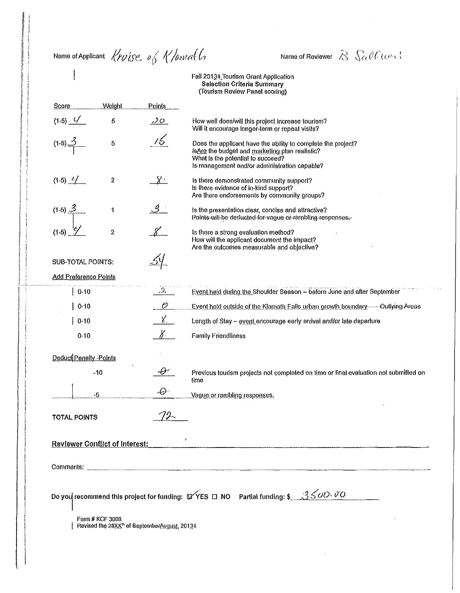Name of Applicant Kruise. of Klontat L.

 $\mathsf{l}$ 

Name of Reviewer  $\hat{\mathcal{B}}$   $\int_{\Omega} \hat{\mathcal{C}} \hat{\mathcal{C}} (\omega, \omega)$ 

Fall 201<u>3</u>4 Tourism Grant Application<br>Selection Criteria Summary<br>(Tourism Review Panel scoring)

| $(1.5)$ $4/$<br>5<br>20<br>How well does/will this project increase tourism?<br>Will it encourage longer-term or repeat visits?<br>76<br>$(1-5)$ <sup><math>\leq</math></sup><br>5<br>Does the applicant have the ability to complete the project?<br>IsAre the budget and marketing plan realistic?<br>What is the potential to succeed?<br>Is management and/or administration capable?<br>$(1-5)$ $-/-$<br>2<br><u> 8:</u><br>Is there demonstrated community support?<br>Is there evidence of in-kind support?<br>Are there endorsements by community groups?<br><u>ी :</u><br>$(1-5) \frac{3}{2}$<br>1<br>Is the presentation clear, concise and attractive?<br>Points will be deducted for vague or rambling responses.<br>$(1-5)$<br>$\overline{c}$<br>Is there a strong evaluation method?<br>How will the applicant document the impact?<br>Are the outcomes measurable and objective?<br><b>SUB-TOTAL POINTS:</b><br><b>Add Preference Points</b><br>$\mathcal{L}_{\mathcal{D}}$<br>Event held during the Shoulder Season - before June and after September<br>$0-10$<br>Ő<br>0.10<br>Event held outside of the Klamath Falls urban growth boundary- Outlying Areas<br>$\chi$<br>0.10<br>Length of Stay - event encourage early arrival and/or late departure<br>$8^{\circ}$<br>0.10<br><b>Family Friendliness</b><br>Deduct Penalty - Points<br>$\cdot\!\theta$ r<br>$-10$<br>Previous tourism projects not completed on time or final evaluation not submitted on<br>time<br>$\mathcal{O}$<br>-5<br>Vague or rambling responses.<br><b>TOTAL POINTS</b><br>$\pmb{\cdot}$<br><b>Reviewer Conflict of Interest:</b><br>Form # KCF 3008<br>Revised the 28XX <sup>th</sup> of SeptemberAugust, 20134 | Score | Welght | Points |  |  |  |
|--------------------------------------------------------------------------------------------------------------------------------------------------------------------------------------------------------------------------------------------------------------------------------------------------------------------------------------------------------------------------------------------------------------------------------------------------------------------------------------------------------------------------------------------------------------------------------------------------------------------------------------------------------------------------------------------------------------------------------------------------------------------------------------------------------------------------------------------------------------------------------------------------------------------------------------------------------------------------------------------------------------------------------------------------------------------------------------------------------------------------------------------------------------------------------------------------------------------------------------------------------------------------------------------------------------------------------------------------------------------------------------------------------------------------------------------------------------------------------------------------------------------------------------------------------------------------------------------------------------------------------------------------------------------------------------------------------------|-------|--------|--------|--|--|--|
|                                                                                                                                                                                                                                                                                                                                                                                                                                                                                                                                                                                                                                                                                                                                                                                                                                                                                                                                                                                                                                                                                                                                                                                                                                                                                                                                                                                                                                                                                                                                                                                                                                                                                                              |       |        |        |  |  |  |
|                                                                                                                                                                                                                                                                                                                                                                                                                                                                                                                                                                                                                                                                                                                                                                                                                                                                                                                                                                                                                                                                                                                                                                                                                                                                                                                                                                                                                                                                                                                                                                                                                                                                                                              |       |        |        |  |  |  |
|                                                                                                                                                                                                                                                                                                                                                                                                                                                                                                                                                                                                                                                                                                                                                                                                                                                                                                                                                                                                                                                                                                                                                                                                                                                                                                                                                                                                                                                                                                                                                                                                                                                                                                              |       |        |        |  |  |  |
|                                                                                                                                                                                                                                                                                                                                                                                                                                                                                                                                                                                                                                                                                                                                                                                                                                                                                                                                                                                                                                                                                                                                                                                                                                                                                                                                                                                                                                                                                                                                                                                                                                                                                                              |       |        |        |  |  |  |
|                                                                                                                                                                                                                                                                                                                                                                                                                                                                                                                                                                                                                                                                                                                                                                                                                                                                                                                                                                                                                                                                                                                                                                                                                                                                                                                                                                                                                                                                                                                                                                                                                                                                                                              |       |        |        |  |  |  |
|                                                                                                                                                                                                                                                                                                                                                                                                                                                                                                                                                                                                                                                                                                                                                                                                                                                                                                                                                                                                                                                                                                                                                                                                                                                                                                                                                                                                                                                                                                                                                                                                                                                                                                              |       |        |        |  |  |  |
|                                                                                                                                                                                                                                                                                                                                                                                                                                                                                                                                                                                                                                                                                                                                                                                                                                                                                                                                                                                                                                                                                                                                                                                                                                                                                                                                                                                                                                                                                                                                                                                                                                                                                                              |       |        |        |  |  |  |
|                                                                                                                                                                                                                                                                                                                                                                                                                                                                                                                                                                                                                                                                                                                                                                                                                                                                                                                                                                                                                                                                                                                                                                                                                                                                                                                                                                                                                                                                                                                                                                                                                                                                                                              |       |        |        |  |  |  |
|                                                                                                                                                                                                                                                                                                                                                                                                                                                                                                                                                                                                                                                                                                                                                                                                                                                                                                                                                                                                                                                                                                                                                                                                                                                                                                                                                                                                                                                                                                                                                                                                                                                                                                              |       |        |        |  |  |  |
|                                                                                                                                                                                                                                                                                                                                                                                                                                                                                                                                                                                                                                                                                                                                                                                                                                                                                                                                                                                                                                                                                                                                                                                                                                                                                                                                                                                                                                                                                                                                                                                                                                                                                                              |       |        |        |  |  |  |
|                                                                                                                                                                                                                                                                                                                                                                                                                                                                                                                                                                                                                                                                                                                                                                                                                                                                                                                                                                                                                                                                                                                                                                                                                                                                                                                                                                                                                                                                                                                                                                                                                                                                                                              |       |        |        |  |  |  |
|                                                                                                                                                                                                                                                                                                                                                                                                                                                                                                                                                                                                                                                                                                                                                                                                                                                                                                                                                                                                                                                                                                                                                                                                                                                                                                                                                                                                                                                                                                                                                                                                                                                                                                              |       |        |        |  |  |  |
|                                                                                                                                                                                                                                                                                                                                                                                                                                                                                                                                                                                                                                                                                                                                                                                                                                                                                                                                                                                                                                                                                                                                                                                                                                                                                                                                                                                                                                                                                                                                                                                                                                                                                                              |       |        |        |  |  |  |
|                                                                                                                                                                                                                                                                                                                                                                                                                                                                                                                                                                                                                                                                                                                                                                                                                                                                                                                                                                                                                                                                                                                                                                                                                                                                                                                                                                                                                                                                                                                                                                                                                                                                                                              |       |        |        |  |  |  |
| Do you recommend this project for funding: $\mathbb{Q}$ YES $\Box$ NO Partial funding: \$ 3500.00                                                                                                                                                                                                                                                                                                                                                                                                                                                                                                                                                                                                                                                                                                                                                                                                                                                                                                                                                                                                                                                                                                                                                                                                                                                                                                                                                                                                                                                                                                                                                                                                            |       |        |        |  |  |  |
|                                                                                                                                                                                                                                                                                                                                                                                                                                                                                                                                                                                                                                                                                                                                                                                                                                                                                                                                                                                                                                                                                                                                                                                                                                                                                                                                                                                                                                                                                                                                                                                                                                                                                                              |       |        |        |  |  |  |
|                                                                                                                                                                                                                                                                                                                                                                                                                                                                                                                                                                                                                                                                                                                                                                                                                                                                                                                                                                                                                                                                                                                                                                                                                                                                                                                                                                                                                                                                                                                                                                                                                                                                                                              |       |        |        |  |  |  |
|                                                                                                                                                                                                                                                                                                                                                                                                                                                                                                                                                                                                                                                                                                                                                                                                                                                                                                                                                                                                                                                                                                                                                                                                                                                                                                                                                                                                                                                                                                                                                                                                                                                                                                              |       |        |        |  |  |  |
|                                                                                                                                                                                                                                                                                                                                                                                                                                                                                                                                                                                                                                                                                                                                                                                                                                                                                                                                                                                                                                                                                                                                                                                                                                                                                                                                                                                                                                                                                                                                                                                                                                                                                                              |       |        |        |  |  |  |
|                                                                                                                                                                                                                                                                                                                                                                                                                                                                                                                                                                                                                                                                                                                                                                                                                                                                                                                                                                                                                                                                                                                                                                                                                                                                                                                                                                                                                                                                                                                                                                                                                                                                                                              |       |        |        |  |  |  |
|                                                                                                                                                                                                                                                                                                                                                                                                                                                                                                                                                                                                                                                                                                                                                                                                                                                                                                                                                                                                                                                                                                                                                                                                                                                                                                                                                                                                                                                                                                                                                                                                                                                                                                              |       |        |        |  |  |  |
|                                                                                                                                                                                                                                                                                                                                                                                                                                                                                                                                                                                                                                                                                                                                                                                                                                                                                                                                                                                                                                                                                                                                                                                                                                                                                                                                                                                                                                                                                                                                                                                                                                                                                                              |       |        |        |  |  |  |